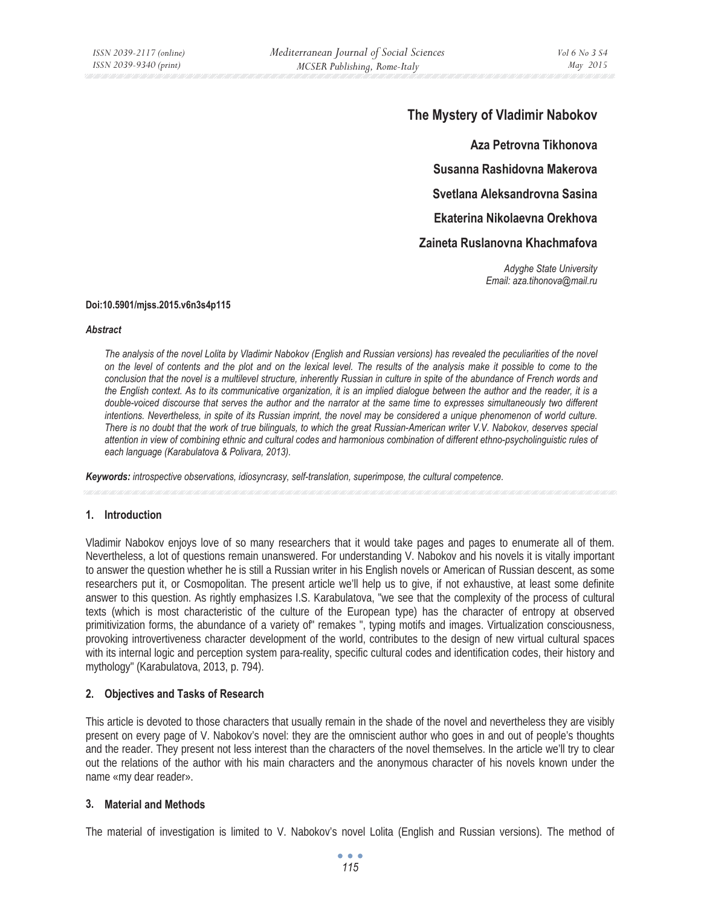# **The Mystery of Vladimir Nabokov**

**Aza Petrovna Tikhonova Susanna Rashidovna Makerova Svetlana Aleksandrovna Sasina Ekaterina Nikolaevna Orekhova Zaineta Ruslanovna Khachmafova** 

> *Adyghe State University Email: aza.tihonova@mail.ru*

#### **Doi:10.5901/mjss.2015.v6n3s4p115**

#### *Abstract*

*The analysis of the novel Lolita by Vladimir Nabokov (English and Russian versions) has revealed the peculiarities of the novel on the level of contents and the plot and on the lexical level. The results of the analysis make it possible to come to the conclusion that the novel is a multilevel structure, inherently Russian in culture in spite of the abundance of French words and the English context. As to its communicative organization, it is an implied dialogue between the author and the reader, it is a* double-voiced discourse that serves the author and the narrator at the same time to expresses simultaneously two different *intentions. Nevertheless, in spite of its Russian imprint, the novel may be considered a unique phenomenon of world culture. There is no doubt that the work of true bilinguals, to which the great Russian-American writer V.V. Nabokov, deserves special attention in view of combining ethnic and cultural codes and harmonious combination of different ethno-psycholinguistic rules of each language (Karabulatova & Polivara, 2013).* 

*Keywords: introspective observations, idiosyncrasy, self-translation, superimpose, the cultural competence.*

#### **1. Introduction**

Vladimir Nabokov enjoys love of so many researchers that it would take pages and pages to enumerate all of them. Nevertheless, a lot of questions remain unanswered. For understanding V. Nabokov and his novels it is vitally important to answer the question whether he is still a Russian writer in his English novels or American of Russian descent, as some researchers put it, or Cosmopolitan. The present article we'll help us to give, if not exhaustive, at least some definite answer to this question. As rightly emphasizes I.S. Karabulatova, "we see that the complexity of the process of cultural texts (which is most characteristic of the culture of the European type) has the character of entropy at observed primitivization forms, the abundance of a variety of" remakes ", typing motifs and images. Virtualization consciousness, provoking introvertiveness character development of the world, contributes to the design of new virtual cultural spaces with its internal logic and perception system para-reality, specific cultural codes and identification codes, their history and mythology" (Karabulatova, 2013, p. 794).

# **2. Objectives and Tasks of Research**

This article is devoted to those characters that usually remain in the shade of the novel and nevertheless they are visibly present on every page of V. Nabokov's novel: they are the omniscient author who goes in and out of people's thoughts and the reader. They present not less interest than the characters of the novel themselves. In the article we'll try to clear out the relations of the author with his main characters and the anonymous character of his novels known under the name «my dear reader».

# **3. Material and Methods**

The material of investigation is limited to V. Nabokov's novel Lolita (English and Russian versions). The method of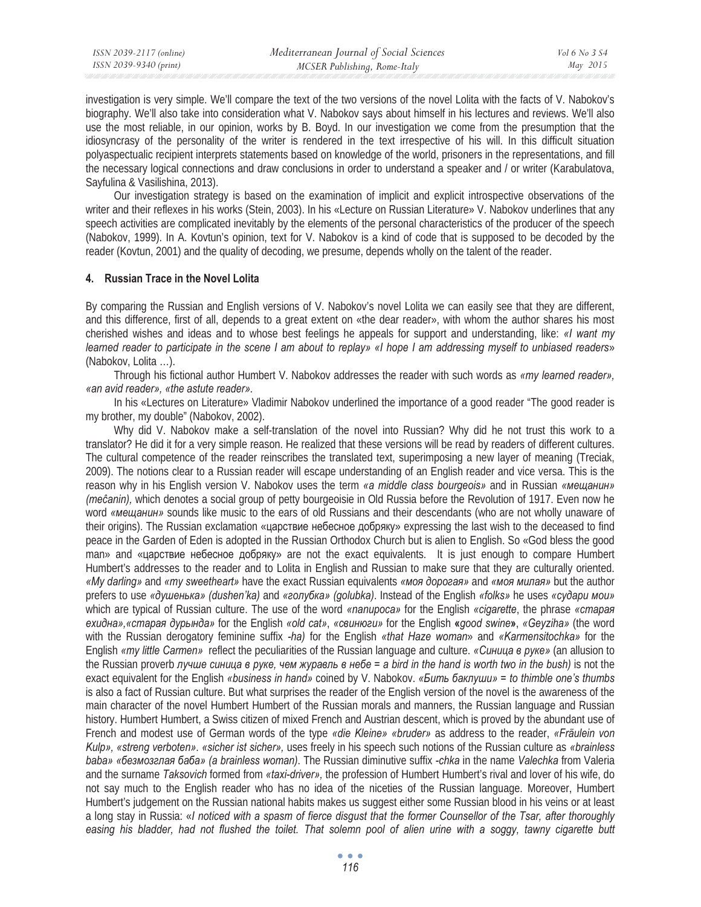investigation is very simple. We'll compare the text of the two versions of the novel Lolita with the facts of V. Nabokov's biography. We'll also take into consideration what V. Nabokov says about himself in his lectures and reviews. We'll also use the most reliable, in our opinion, works by B. Boyd. In our investigation we come from the presumption that the idiosyncrasy of the personality of the writer is rendered in the text irrespective of his will. In this difficult situation polyaspectualic recipient interprets statements based on knowledge of the world, prisoners in the representations, and fill the necessary logical connections and draw conclusions in order to understand a speaker and / or writer (Karabulatova, Sayfulina & Vasilishina, 2013).

Our investigation strategy is based on the examination of implicit and explicit introspective observations of the writer and their reflexes in his works (Stein, 2003). In his «Lecture on Russian Literature» V. Nabokov underlines that any speech activities are complicated inevitably by the elements of the personal characteristics of the producer of the speech (Nabokov, 1999). In A. Kovtun's opinion, text for V. Nabokov is a kind of code that is supposed to be decoded by the reader (Kovtun, 2001) and the quality of decoding, we presume, depends wholly on the talent of the reader.

# **4. Russian Trace in the Novel Lolita**

By comparing the Russian and English versions of V. Nabokov's novel Lolita we can easily see that they are different, and this difference, first of all, depends to a great extent on «the dear reader», with whom the author shares his most cherished wishes and ideas and to whose best feelings he appeals for support and understanding, like: *«I want my learned reader to participate in the scene I am about to replay» «I hope I am addressing myself to unbiased readers*» (Nabokov, Lolita …).

Through his fictional author Humbert V. Nabokov addresses the reader with such words as *«my learned reader», «an avid reader», «the astute reader».* 

In his «Lectures on Literature» Vladimir Nabokov underlined the importance of a good reader "The good reader is my brother, my double" (Nabokov, 2002).

Why did V. Nabokov make a self-translation of the novel into Russian? Why did he not trust this work to a translator? He did it for a very simple reason. He realized that these versions will be read by readers of different cultures. The cultural competence of the reader reinscribes the translated text, superimposing a new layer of meaning (Treciak, 2009). The notions clear to a Russian reader will escape understanding of an English reader and vice versa. This is the reason why in his English version V. Nabokov uses the term *«a middle class bourgeois»* and in Russian *«мещанин» (meƙanin),* which denotes a social group of petty bourgeoisie in Old Russia before the Revolution of 1917. Even now he word *«мещанин»* sounds like music to the ears of old Russians and their descendants (who are not wholly unaware of their origins). The Russian exclamation «царствие небесное добряку» expressing the last wish to the deceased to find peace in the Garden of Eden is adopted in the Russian Orthodox Church but is alien to English. So «God bless the good man» and «царствие небесное добряку» are not the exact equivalents. It is just enough to compare Humbert Humbert's addresses to the reader and to Lolita in English and Russian to make sure that they are culturally oriented. «My darling» and «ту sweetheart» have the exact Russian equivalents «моя дорогая» and «моя милая» but the author prefers to use *«душенька» (dushen'ka)* and *«голубка» (golubka)*. Instead of the English *«folks»* he uses *«судари мои»* which are typical of Russian culture. The use of the word *«nanupoca»* for the English *«cigarette*, the phrase *«старая*  $\alpha$ *у • в идна»*, «*cmapaя дурында»* for the English «old cat», «свинюги» for the English «good swine», «Geyziha» (the word with the Russian derogatory feminine suffix *-ha)* for the English *«that Haze woman*» and *«Karmensitochka»* for the English *«my little Carmen»* reflect the peculiarities of the Russian language and culture. *«ɋɢɧɢɰɚ ɜ ɪɭɤɟ»* (an allusion to the Russian proverb *лучше синица в руке, чем журавль в небе = a bird in the hand is worth two in the bush) is not the* exact equivalent for the English «business in hand» coined by V. Nabokov. «Бить баклуши» = to thimble one's thumbs is also a fact of Russian culture. But what surprises the reader of the English version of the novel is the awareness of the main character of the novel Humbert Humbert of the Russian morals and manners, the Russian language and Russian history. Humbert Humbert, a Swiss citizen of mixed French and Austrian descent, which is proved by the abundant use of French and modest use of German words of the type *«die Kleine» «bruder»* as address to the reader, *«Fräulein von Kulp», «streng verboten»*. *«sicher ist sicher»,* uses freely in his speech such notions of the Russian culture as *«brainless baba» «ɛɟɡɦɨɡɝɥɚɹ ɛɚɛɚ» (a brainless woman)*. The Russian diminutive suffix *-chka* in the name *Valechka* from Valeria and the surname *Taksovich* formed from *«taxi-driver»,* the profession of Humbert Humbert's rival and lover of his wife, do not say much to the English reader who has no idea of the niceties of the Russian language. Moreover, Humbert Humbert's judgement on the Russian national habits makes us suggest either some Russian blood in his veins or at least a long stay in Russia: «*I noticed with a spasm of fierce disgust that the former Counsellor of the Tsar, after thoroughly*  easing his bladder, had not flushed the toilet. That solemn pool of alien urine with a soggy, tawny cigarette butt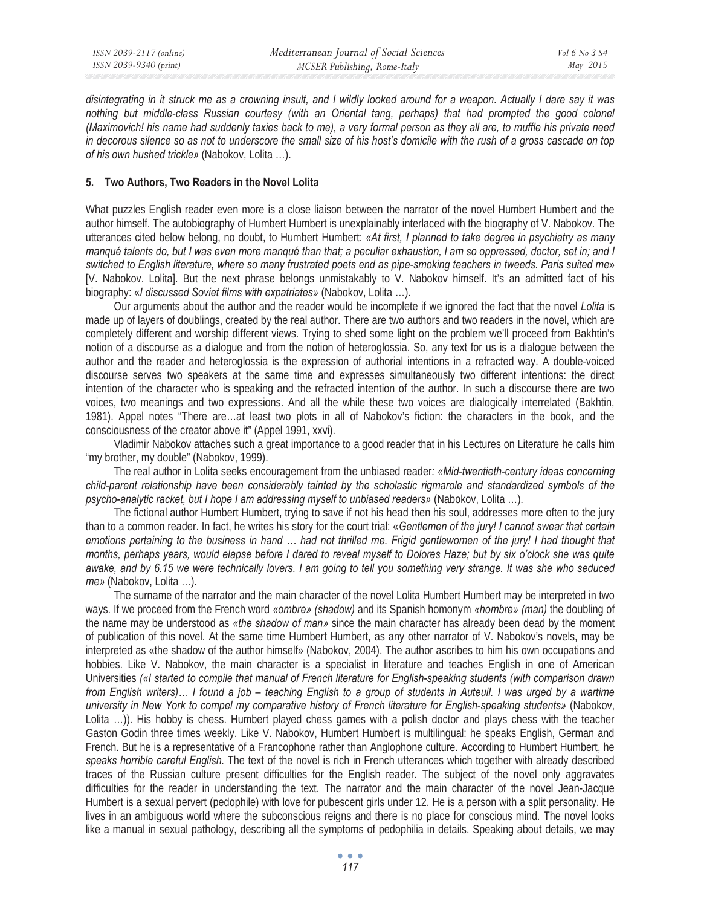*disintegrating in it struck me as a crowning insult, and I wildly looked around for a weapon. Actually I dare say it was nothing but middle-class Russian courtesy (with an Oriental tang, perhaps) that had prompted the good colonel (Maximovich! his name had suddenly taxies back to me), a very formal person as they all are, to muffle his private need in decorous silence so as not to underscore the small size of his host's domicile with the rush of a gross cascade on top of his own hushed trickle»* (Nabokov, Lolita …).

# **5. Two Authors, Two Readers in the Novel Lolita**

What puzzles English reader even more is a close liaison between the narrator of the novel Humbert Humbert and the author himself. The autobiography of Humbert Humbert is unexplainably interlaced with the biography of V. Nabokov. The utterances cited below belong, no doubt, to Humbert Humbert: *«At first, I planned to take degree in psychiatry as many manqué talents do, but I was even more manqué than that; a peculiar exhaustion, I am so oppressed, doctor, set in; and I switched to English literature, where so many frustrated poets end as pipe-smoking teachers in tweeds. Paris suited me*» [V. Nabokov. Lolita]. But the next phrase belongs unmistakably to V. Nabokov himself. It's an admitted fact of his biography: «*I discussed Soviet films with expatriates»* (Nabokov, Lolita …).

Our arguments about the author and the reader would be incomplete if we ignored the fact that the novel *Lolita* is made up of layers of doublings, created by the real author. There are two authors and two readers in the novel, which are completely different and worship different views. Trying to shed some light on the problem we'll proceed from Bakhtin's notion of a discourse as a dialogue and from the notion of heteroglossia. So, any text for us is a dialogue between the author and the reader and heteroglossia is the expression of authorial intentions in a refracted way. A double-voiced discourse serves two speakers at the same time and expresses simultaneously two different intentions: the direct intention of the character who is speaking and the refracted intention of the author. In such a discourse there are two voices, two meanings and two expressions. And all the while these two voices are dialogically interrelated (Bakhtin, 1981). Appel notes "There are…at least two plots in all of Nabokov's fiction: the characters in the book, and the consciousness of the creator above it" (Appel 1991, xxvi).

Vladimir Nabokov attaches such a great importance to a good reader that in his Lectures on Literature he calls him "my brother, my double" (Nabokov, 1999).

The real author in Lolita seeks encouragement from the unbiased reader*: «Mid-twentieth-century ideas concerning child-parent relationship have been considerably tainted by the scholastic rigmarole and standardized symbols of the psycho-analytic racket, but I hope I am addressing myself to unbiased readers»* (Nabokov, Lolita …)*.*

The fictional author Humbert Humbert, trying to save if not his head then his soul, addresses more often to the jury than to a common reader. In fact, he writes his story for the court trial: «*Gentlemen of the jury! I cannot swear that certain emotions pertaining to the business in hand … had not thrilled me. Frigid gentlewomen of the jury! I had thought that months, perhaps years, would elapse before I dared to reveal myself to Dolores Haze; but by six o'clock she was quite awake, and by 6.15 we were technically lovers. I am going to tell you something very strange. It was she who seduced me»* (Nabokov, Lolita …).

The surname of the narrator and the main character of the novel Lolita Humbert Humbert may be interpreted in two ways. If we proceed from the French word *«ombre» (shadow)* and its Spanish homonym *«hombre» (man)* the doubling of the name may be understood as *«the shadow of man»* since the main character has already been dead by the moment of publication of this novel. At the same time Humbert Humbert, as any other narrator of V. Nabokov's novels, may be interpreted as «the shadow of the author himself» (Nabokov, 2004). The author ascribes to him his own occupations and hobbies. Like V. Nabokov, the main character is a specialist in literature and teaches English in one of American Universities *(«I started to compile that manual of French literature for English-speaking students (with comparison drawn from English writers)… I found a job – teaching English to a group of students in Auteuil. I was urged by a wartime university in New York to compel my comparative history of French literature for English-speaking students»* (Nabokov, Lolita …)). His hobby is chess. Humbert played chess games with a polish doctor and plays chess with the teacher Gaston Godin three times weekly. Like V. Nabokov, Humbert Humbert is multilingual: he speaks English, German and French. But he is a representative of a Francophone rather than Anglophone culture. According to Humbert Humbert, he *speaks horrible careful English.* The text of the novel is rich in French utterances which together with already described traces of the Russian culture present difficulties for the English reader. The subject of the novel only aggravates difficulties for the reader in understanding the text. The narrator and the main character of the novel Jean-Jacque Humbert is a sexual pervert (pedophile) with love for pubescent girls under 12. He is a person with a split personality. He lives in an ambiguous world where the subconscious reigns and there is no place for conscious mind. The novel looks like a manual in sexual pathology, describing all the symptoms of pedophilia in details. Speaking about details, we may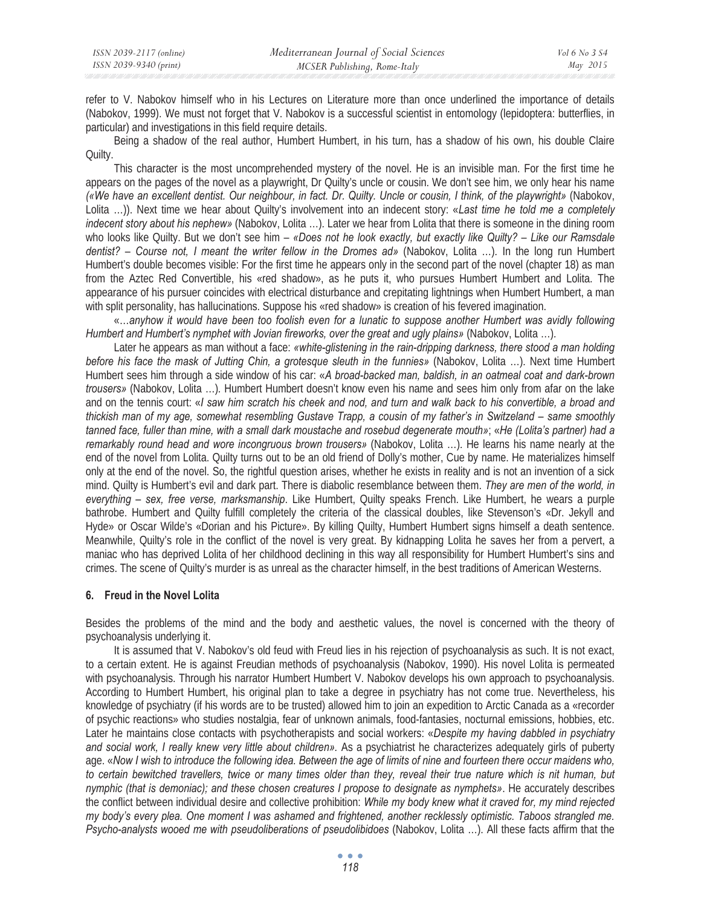refer to V. Nabokov himself who in his Lectures on Literature more than once underlined the importance of details (Nabokov, 1999). We must not forget that V. Nabokov is a successful scientist in entomology (lepidoptera: butterflies, in particular) and investigations in this field require details.

Being a shadow of the real author, Humbert Humbert, in his turn, has a shadow of his own, his double Claire Quilty.

This character is the most uncomprehended mystery of the novel. He is an invisible man. For the first time he appears on the pages of the novel as a playwright, Dr Quilty's uncle or cousin. We don't see him, we only hear his name *(«We have an excellent dentist. Our neighbour, in fact. Dr. Quilty. Uncle or cousin, I think, of the playwright»* (Nabokov, Lolita …)). Next time we hear about Quilty's involvement into an indecent story: «*Last time he told me a completely indecent story about his nephew»* (Nabokov, Lolita …)*.* Later we hear from Lolita that there is someone in the dining room who looks like Quilty. But we don't see him – *«Does not he look exactly, but exactly like Quilty?* – *Like our Ramsdale dentist?* – *Course not, I meant the writer fellow in the Dromes ad»* (Nabokov, Lolita …)*.* In the long run Humbert Humbert's double becomes visible: For the first time he appears only in the second part of the novel (chapter 18) as man from the Aztec Red Convertible, his «red shadow», as he puts it, who pursues Humbert Humbert and Lolita. The appearance of his pursuer coincides with electrical disturbance and crepitating lightnings when Humbert Humbert, a man with split personality, has hallucinations. Suppose his «red shadow» is creation of his fevered imagination.

«…*anyhow it would have been too foolish even for a lunatic to suppose another Humbert was avidly following Humbert and Humbert's nymphet with Jovian fireworks, over the great and ugly plains»* (Nabokov, Lolita ...).

Later he appears as man without a face: *«white-glistening in the rain-dripping darkness, there stood a man holding before his face the mask of Jutting Chin, a grotesque sleuth in the funnies»* (Nabokov, Lolita …)*.* Next time Humbert Humbert sees him through a side window of his car: «*A broad-backed man, baldish, in an oatmeal coat and dark-brown trousers»* (Nabokov, Lolita …)*.* Humbert Humbert doesn't know even his name and sees him only from afar on the lake and on the tennis court: «*I saw him scratch his cheek and nod, and turn and walk back to his convertible, a broad and thickish man of my age, somewhat resembling Gustave Trapp, a cousin of my father's in Switzeland – same smoothly tanned face, fuller than mine, with a small dark moustache and rosebud degenerate mouth»*; «*He (Lolita's partner) had a remarkably round head and wore incongruous brown trousers»* (Nabokov, Lolita …)*.* He learns his name nearly at the end of the novel from Lolita. Quilty turns out to be an old friend of Dolly's mother, Cue by name. He materializes himself only at the end of the novel. So, the rightful question arises, whether he exists in reality and is not an invention of a sick mind. Quilty is Humbert's evil and dark part. There is diabolic resemblance between them. *They are men of the world, in everything – sex, free verse, marksmanship*. Like Humbert, Quilty speaks French. Like Humbert, he wears a purple bathrobe. Humbert and Quilty fulfill completely the criteria of the classical doubles, like Stevenson's «Dr. Jekyll and Hyde» or Oscar Wilde's «Dorian and his Picture». By killing Quilty, Humbert Humbert signs himself a death sentence. Meanwhile, Quilty's role in the conflict of the novel is very great. By kidnapping Lolita he saves her from a pervert, a maniac who has deprived Lolita of her childhood declining in this way all responsibility for Humbert Humbert's sins and crimes. The scene of Quilty's murder is as unreal as the character himself, in the best traditions of American Westerns.

# **6. Freud in the Novel Lolita**

Besides the problems of the mind and the body and aesthetic values, the novel is concerned with the theory of psychoanalysis underlying it.

It is assumed that V. Nabokov's old feud with Freud lies in his rejection of psychoanalysis as such. It is not exact, to a certain extent. He is against Freudian methods of psychoanalysis (Nabokov, 1990). His novel Lolita is permeated with psychoanalysis. Through his narrator Humbert Humbert V. Nabokov develops his own approach to psychoanalysis. According to Humbert Humbert, his original plan to take a degree in psychiatry has not come true. Nevertheless, his knowledge of psychiatry (if his words are to be trusted) allowed him to join an expedition to Arctic Canada as a «recorder of psychic reactions» who studies nostalgia, fear of unknown animals, food-fantasies, nocturnal emissions, hobbies, etc. Later he maintains close contacts with psychotherapists and social workers: «*Despite my having dabbled in psychiatry and social work, I really knew very little about children».* As a psychiatrist he characterizes adequately girls of puberty age. «*Now I wish to introduce the following idea. Between the age of limits of nine and fourteen there occur maidens who, to certain bewitched travellers, twice or many times older than they, reveal their true nature which is nit human, but nymphic (that is demoniac); and these chosen creatures I propose to designate as nymphets»*. He accurately describes the conflict between individual desire and collective prohibition: *While my body knew what it craved for, my mind rejected my body's every plea. One moment I was ashamed and frightened, another recklessly optimistic. Taboos strangled me. Psycho-analysts wooed me with pseudoliberations of pseudolibidoes* (Nabokov, Lolita …). All these facts affirm that the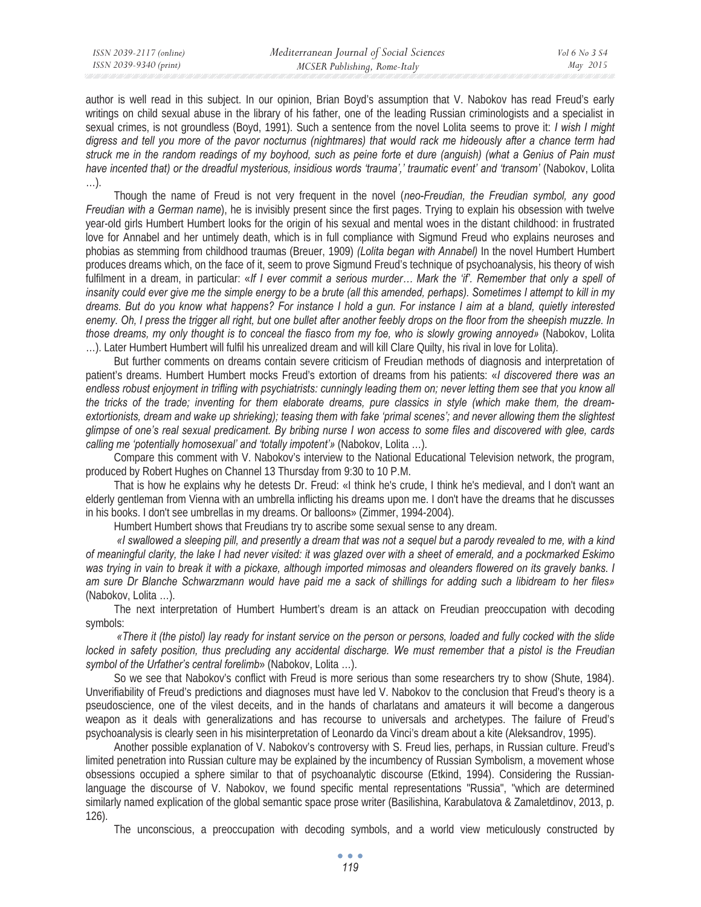author is well read in this subject. In our opinion, Brian Boyd's assumption that V. Nabokov has read Freud's early writings on child sexual abuse in the library of his father, one of the leading Russian criminologists and a specialist in sexual crimes, is not groundless (Boyd, 1991). Such a sentence from the novel Lolita seems to prove it: *I wish I might digress and tell you more of the pavor nocturnus (nightmares) that would rack me hideously after a chance term had struck me in the random readings of my boyhood, such as peine forte et dure (anguish) (what a Genius of Pain must have incented that) or the dreadful mysterious, insidious words 'trauma',' traumatic event' and 'transom'* (Nabokov, Lolita …).

Though the name of Freud is not very frequent in the novel (*neo-Freudian, the Freudian symbol, any good Freudian with a German name*), he is invisibly present since the first pages. Trying to explain his obsession with twelve year-old girls Humbert Humbert looks for the origin of his sexual and mental woes in the distant childhood: in frustrated love for Annabel and her untimely death, which is in full compliance with Sigmund Freud who explains neuroses and phobias as stemming from childhood traumas (Breuer, 1909) *(Lolita began with Annabel)* In the novel Humbert Humbert produces dreams which, on the face of it, seem to prove Sigmund Freud's technique of psychoanalysis, his theory of wish fulfilment in a dream, in particular: «*If I ever commit a serious murder… Mark the 'if'. Remember that only a spell of insanity could ever give me the simple energy to be a brute (all this amended, perhaps). Sometimes I attempt to kill in my dreams. But do you know what happens? For instance I hold a gun. For instance I aim at a bland, quietly interested enemy. Oh, I press the trigger all right, but one bullet after another feebly drops on the floor from the sheepish muzzle. In those dreams, my only thought is to conceal the fiasco from my foe, who is slowly growing annoyed»* (Nabokov, Lolita …). Later Humbert Humbert will fulfil his unrealized dream and will kill Clare Quilty, his rival in love for Lolita).

But further comments on dreams contain severe criticism of Freudian methods of diagnosis and interpretation of patient's dreams. Humbert Humbert mocks Freud's extortion of dreams from his patients: «*I discovered there was an endless robust enjoyment in trifling with psychiatrists: cunningly leading them on; never letting them see that you know all the tricks of the trade; inventing for them elaborate dreams, pure classics in style (which make them, the dreamextortionists, dream and wake up shrieking); teasing them with fake 'primal scenes'; and never allowing them the slightest glimpse of one's real sexual predicament. By bribing nurse I won access to some files and discovered with glee, cards calling me 'potentially homosexual' and 'totally impotent'»* (Nabokov, Lolita …)*.*

Compare this comment with V. Nabokov's interview to the National Educational Television network, the program, produced by Robert Hughes on Channel 13 Thursday from 9:30 to 10 P.M.

That is how he explains why he detests Dr. Freud: «I think he's crude, I think he's medieval, and I don't want an elderly gentleman from Vienna with an umbrella inflicting his dreams upon me. I don't have the dreams that he discusses in his books. I don't see umbrellas in my dreams. Or balloons» (Zimmer, 1994-2004).

Humbert Humbert shows that Freudians try to ascribe some sexual sense to any dream.

 *«I swallowed a sleeping pill, and presently a dream that was not a sequel but a parody revealed to me, with a kind of meaningful clarity, the lake I had never visited: it was glazed over with a sheet of emerald, and a pockmarked Eskimo was trying in vain to break it with a pickaxe, although imported mimosas and oleanders flowered on its gravely banks. I am sure Dr Blanche Schwarzmann would have paid me a sack of shillings for adding such a libidream to her files»*  (Nabokov, Lolita …)*.*

The next interpretation of Humbert Humbert's dream is an attack on Freudian preoccupation with decoding symbols:

 *«There it (the pistol) lay ready for instant service on the person or persons, loaded and fully cocked with the slide locked in safety position, thus precluding any accidental discharge. We must remember that a pistol is the Freudian symbol of the Urfather's central forelimb*» (Nabokov, Lolita …)*.*

So we see that Nabokov's conflict with Freud is more serious than some researchers try to show (Shute, 1984). Unverifiability of Freud's predictions and diagnoses must have led V. Nabokov to the conclusion that Freud's theory is a pseudoscience, one of the vilest deceits, and in the hands of charlatans and amateurs it will become a dangerous weapon as it deals with generalizations and has recourse to universals and archetypes. The failure of Freud's psychoanalysis is clearly seen in his misinterpretation of Leonardo da Vinci's dream about a kite (Aleksandrov, 1995).

Another possible explanation of V. Nabokov's controversy with S. Freud lies, perhaps, in Russian culture. Freud's limited penetration into Russian culture may be explained by the incumbency of Russian Symbolism, a movement whose obsessions occupied a sphere similar to that of psychoanalytic discourse (Etkind, 1994). Considering the Russianlanguage the discourse of V. Nabokov, we found specific mental representations "Russia", "which are determined similarly named explication of the global semantic space prose writer (Basilishina, Karabulatova & Zamaletdinov, 2013, p. 126).

The unconscious, a preoccupation with decoding symbols, and a world view meticulously constructed by